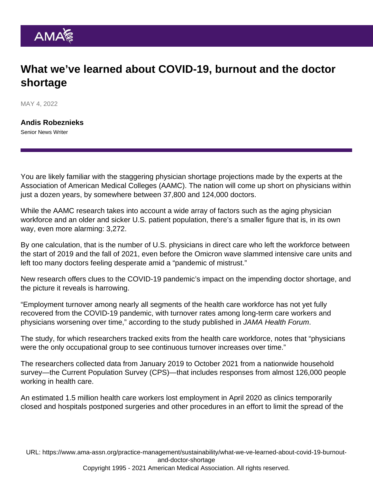### What we've learned about COVID-19, burnout and the doctor shortage

MAY 4, 2022

[Andis Robeznieks](https://www.ama-assn.org/news-leadership-viewpoints/authors-news-leadership-viewpoints/andis-robeznieks) Senior News Writer

You are likely familiar with the staggering physician shortage projections made by the experts at the Association of American Medical Colleges (AAMC). The nation will come up short on physicians within just a dozen years, by somewhere between 37,800 and 124,000 doctors.

While the AAMC research takes into account a wide array of factors such as the aging physician workforce and an older and sicker U.S. patient population, there's a smaller figure that is, in its own way, even more alarming: 3,272.

By one calculation, that is the number of U.S. physicians in direct care who left the workforce between the start of 2019 and the fall of 2021, even before the Omicron wave slammed intensive care units and left too many doctors feeling desperate amid a ["pandemic of mistrust](https://www.ama-assn.org/delivering-care/public-health/gerald-harmon-md-physicians-role-pandemic-mistrust)."

New research offers clues to the COVID-19 pandemic's impact on the impending doctor shortage, and the picture it reveals is harrowing.

"Employment turnover among nearly all segments of the health care workforce has not yet fully recovered from the COVID-19 pandemic, with turnover rates among long-term care workers and physicians worsening over time," according to [the study published in JAMA Health Forum.](https://jamanetwork.com/journals/jama-health-forum/fullarticle/2790961)

The study, for which researchers tracked exits from the health care workforce, notes that "physicians were the only occupational group to see continuous turnover increases over time."

The researchers collected data from January 2019 to October 2021 from a nationwide household survey—the Current Population Survey (CPS)—that includes responses from almost 126,000 people working in health care.

An estimated 1.5 million health care workers lost employment in April 2020 as clinics temporarily closed and hospitals postponed surgeries and other procedures in an effort to limit the spread of the

URL: [https://www.ama-assn.org/practice-management/sustainability/what-we-ve-learned-about-covid-19-burnout](https://www.ama-assn.org/practice-management/sustainability/what-we-ve-learned-about-covid-19-burnout-and-doctor-shortage)[and-doctor-shortage](https://www.ama-assn.org/practice-management/sustainability/what-we-ve-learned-about-covid-19-burnout-and-doctor-shortage)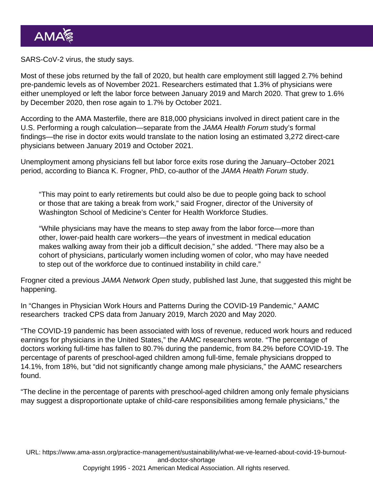SARS-CoV-2 virus, the study says.

Most of these jobs returned by the fall of 2020, but health care employment still lagged 2.7% behind pre-pandemic levels as of November 2021. Researchers estimated that 1.3% of physicians were either unemployed or left the labor force between January 2019 and March 2020. That grew to 1.6% by December 2020, then rose again to 1.7% by October 2021.

According to the [AMA Masterfile](https://www.ama-assn.org/about/masterfile/ama-physician-masterfile), there are 818,000 physicians involved in direct patient care in the U.S. Performing a rough calculation—separate from the JAMA Health Forum study's formal findings—the rise in doctor exits would translate to the nation losing an estimated 3,272 direct-care physicians between January 2019 and October 2021.

Unemployment among physicians fell but labor force exits rose during the January–October 2021 period, according to Bianca K. Frogner, PhD, co-author of the JAMA Health Forum study.

"This may point to early retirements but could also be due to people going back to school or those that are taking a break from work," said Frogner, director of the University of Washington School of Medicine's Center for Health Workforce Studies.

"While physicians may have the means to step away from the labor force—more than other, lower-paid health care workers—the years of investment in medical education makes walking away from their job a difficult decision," she added. "There may also be a cohort of physicians, particularly women including women of color, who may have needed to step out of the workforce due to continued instability in child care."

Frogner cited a previous [JAMA Network Open](https://jamanetwork.com/journals/jamanetworkopen) study, published last June, that suggested this might be happening.

In ["Changes in Physician Work Hours and Patterns During the COVID-19 Pandemic,](https://jamanetwork.com/journals/jamanetworkopen/article-abstract/2781284)" AAMC researchers tracked CPS data from January 2019, March 2020 and May 2020.

"The COVID-19 pandemic has been associated with loss of revenue, reduced work hours and reduced earnings for physicians in the United States," the AAMC researchers wrote. "The percentage of doctors working full-time has fallen to 80.7% during the pandemic, from 84.2% before COVID-19. The percentage of parents of preschool-aged children among full-time, female physicians dropped to 14.1%, from 18%, but "did not significantly change among male physicians," the AAMC researchers found.

"The decline in the percentage of parents with preschool-aged children among only female physicians may suggest a disproportionate uptake of child-care responsibilities among female physicians," the

URL: [https://www.ama-assn.org/practice-management/sustainability/what-we-ve-learned-about-covid-19-burnout](https://www.ama-assn.org/practice-management/sustainability/what-we-ve-learned-about-covid-19-burnout-and-doctor-shortage)[and-doctor-shortage](https://www.ama-assn.org/practice-management/sustainability/what-we-ve-learned-about-covid-19-burnout-and-doctor-shortage)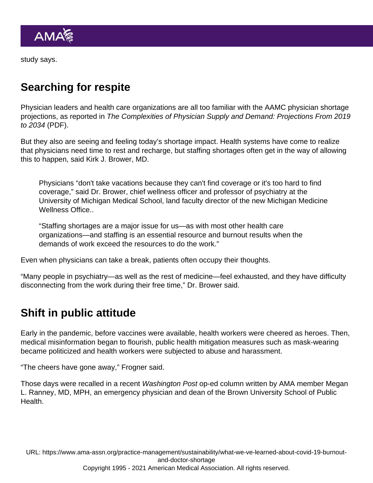study says.

### Searching for respite

Physician leaders and health care organizations are all too familiar with the AAMC physician shortage projections, as reported in [The Complexities of Physician Supply and Demand: Projections From 2019](https://www.aamc.org/media/54681/download) [to 2034](https://www.aamc.org/media/54681/download) (PDF).

But they also are seeing and feeling today's shortage impact. Health systems have come to realize that physicians need time to rest and recharge, but staffing shortages often get in the way of allowing this to happen, said [Kirk J. Brower, MD](https://www.ama-assn.org/practice-management/physician-health/qa-even-today-chief-wellness-officer-manages-his-own-burnout).

Physicians "don't take vacations because they can't find coverage or it's too hard to find coverage," said Dr. Brower, chief wellness officer and professor of psychiatry at the University of Michigan Medical School, land faculty director of the new Michigan Medicine Wellness Office..

"Staffing shortages are a major issue for us—as with most other health care organizations—and staffing is an essential resource and burnout results when the demands of work exceed the resources to do the work."

Even when physicians can take a break, patients often occupy their thoughts.

"Many people in psychiatry—as well as the rest of medicine—feel exhausted, and they have difficulty disconnecting from the work during their free time," Dr. Brower said.

#### Shift in public attitude

Early in the pandemic, before vaccines were available, health workers were cheered as heroes. Then, medical misinformation began to flourish, public health mitigation measures such as mask-wearing became politicized and health workers were subjected to abuse and harassment.

"The cheers have gone away," Frogner said.

Those days were recalled in a recent [Washington Post op-ed column](https://www.washingtonpost.com/opinions/2022/03/28/health-care-system-vulnerable-to-covid-ba2-omicron-surge/) written by AMA member [Megan](https://www.ama-assn.org/delivering-care/public-health/qa-how-public-health-approach-gun-violence-breaking-barriers) [L. Ranney, MD, MPH](https://www.ama-assn.org/delivering-care/public-health/qa-how-public-health-approach-gun-violence-breaking-barriers), an emergency physician and dean of the Brown University School of Public **Health**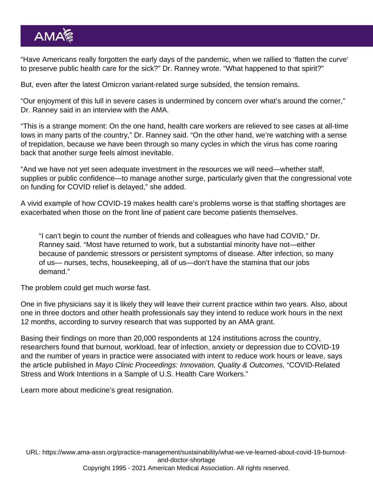"Have Americans really forgotten the early days of the pandemic, when we rallied to 'flatten the curve' to preserve public health care for the sick?" Dr. Ranney wrote. "What happened to that spirit?"

But, even after the latest [Omicron variant-related](https://www.ama-assn.org/delivering-care/public-health/what-doctors-wish-patients-knew-about-covid-19-omicron-variant) surge subsided, the tension remains.

"Our enjoyment of this lull in severe cases is undermined by concern over what's around the corner," Dr. Ranney said in an interview with the AMA.

"This is a strange moment: On the one hand, health care workers are relieved to see cases at all-time lows in many parts of the country," Dr. Ranney said. "On the other hand, we're watching with a sense of trepidation, because we have been through so many cycles in which the virus has come roaring back that another surge feels almost inevitable.

"And we have not yet seen adequate investment in the resources we will need—whether staff, supplies or public confidence—to manage another surge, particularly given that the [congressional vote](https://www.ama-assn.org/delivering-care/public-health/ba2-view-no-time-skimp-covid-19-funding) [on funding for COVID relief](https://www.ama-assn.org/delivering-care/public-health/ba2-view-no-time-skimp-covid-19-funding) is delayed," she added.

A vivid example of how COVID-19 makes health care's problems worse is that staffing shortages are exacerbated when those on the front line of patient care become patients themselves.

"I can't begin to count the number of friends and colleagues who have had COVID," Dr. Ranney said. "Most have returned to work, but a substantial minority have not—either because of pandemic stressors or persistent symptoms of disease. After infection, so many of us— nurses, techs, housekeeping, all of us—don't have the stamina that our jobs demand."

The problem could get much worse fast.

One in five physicians say it is likely they will leave their current practice within two years. Also, about one in three doctors and other health professionals say they intend to reduce work hours in the next 12 months, according to survey research that was supported by an AMA grant.

Basing their findings on more than 20,000 respondents at 124 institutions across the country, researchers found that burnout, workload, fear of infection, anxiety or depression due to COVID-19 and the number of years in practice were associated with intent to reduce work hours or leave, says the article published in Mayo Clinic Proceedings: Innovation, Quality & Outcomes, "[COVID-Related](https://www.mcpiqojournal.org/article/S2542-4548(21)00126-0/fulltext) [Stress and Work Intentions in a Sample of U.S. Health Care Workers](https://www.mcpiqojournal.org/article/S2542-4548(21)00126-0/fulltext)."

Learn more about [medicine's great resignation](https://www.ama-assn.org/practice-management/physician-health/medicine-s-great-resignation-1-5-doctors-plan-exit-2-years).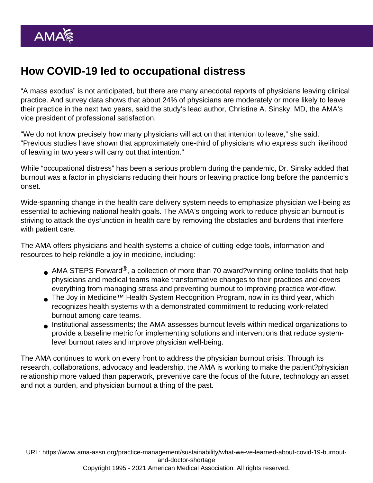## How COVID-19 led to occupational distress

"A mass exodus" is not anticipated, but there are many anecdotal reports of physicians leaving clinical practice. And survey data shows that about 24% of physicians are moderately or more likely to leave their practice in the next two years, said the study's lead author, [Christine A. Sinsky, MD,](https://www.ama-assn.org/practice-management/physician-health/quest-never-waste-step) the AMA's vice president of professional satisfaction.

"We do not know precisely how many physicians will act on that intention to leave," she said. "Previous studies have shown that approximately one-third of physicians who express such likelihood of leaving in two years will carry out that intention."

While "occupational distress" has been a serious problem during the pandemic, Dr. Sinsky added that burnout was a factor in physicians reducing their hours or leaving practice long before the pandemic's onset.

Wide-spanning change in the health care delivery system needs to emphasize physician well-being as essential to achieving national health goals. The AMA's ongoing work to reduce physician burnout is striving to attack the dysfunction in health care by removing the obstacles and burdens that interfere with patient care.

The AMA offers physicians and health systems a choice of cutting-edge tools, information and resources to help rekindle a joy in medicine, including:

- [AMA STEPS Forward](https://edhub.ama-assn.org/steps-forward)<sup>®</sup>, a collection of more than 70 award?winning online toolkits that help physicians and medical teams make transformative changes to their practices and covers everything from managing stress and preventing burnout to improving practice workflow.
- The [Joy in Medicine™ Health System Recognition Program](https://www.ama-assn.org/practice-management/sustainability/joy-medicine-health-system-recognition-program), now in its third year, which recognizes health systems with a demonstrated commitment to reducing work-related burnout among care teams.
- [Institutional assessments](https://www.ama-assn.org/system/files/org-well-being-assessment.pdf); the AMA assesses burnout levels within medical organizations to provide a baseline metric for implementing solutions and interventions that reduce systemlevel burnout rates and improve physician well-being.

The AMA continues to work on every front to address the [physician burnout crisis.](https://www.ama-assn.org/practice-management/physician-health/ama-spurs-movement-fight-key-causes-physician-burnout) Through its research, collaborations, advocacy and leadership, the AMA is working to make the patient?physician relationship more valued than paperwork, preventive care the focus of the future, technology an asset and not a burden, and physician burnout a thing of the past.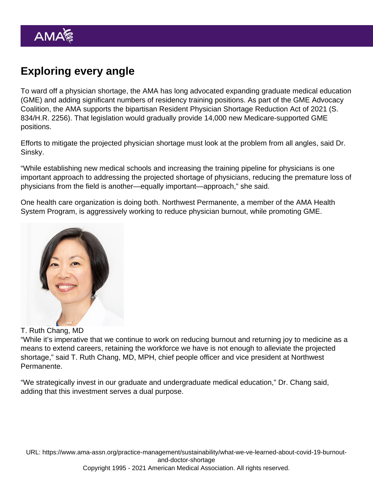# Exploring every angle

To ward off a physician shortage, the AMA has long advocated expanding graduate medical education (GME) and adding significant numbers of residency training positions. As part of the GME Advocacy Coalition, the AMA supports the bipartisan Resident Physician Shortage Reduction Act of 2021 (S. 834/H.R. 2256). That legislation would gradually provide 14,000 new Medicare-supported GME positions.

Efforts to mitigate the projected physician shortage must look at the problem from all angles, said Dr. Sinsky.

"While establishing new medical schools and increasing the training pipeline for physicians is one important approach to addressing the projected shortage of physicians, reducing the premature loss of physicians from the field is another—equally important—approach," she said.

One health care organization is doing both. Northwest Permanente, a member of the [AMA Health](https://www.ama-assn.org/amaone/ama-health-system-program) [System Program](https://www.ama-assn.org/amaone/ama-health-system-program), is aggressively working to reduce physician burnout, while promoting GME.

#### T. Ruth Chang, MD

"While it's imperative that we continue to work on reducing burnout and returning joy to medicine as a means to extend careers, retaining the workforce we have is not enough to alleviate the projected shortage," said [T. Ruth Chang, MD, MPH](https://www.ama-assn.org/practice-management/physician-health/qa-chief-people-officer-strives-keep-patients-colleagues-well), chief people officer and vice president at Northwest Permanente.

"We strategically invest in our graduate and undergraduate medical education," Dr. Chang said, adding that this investment serves a dual purpose.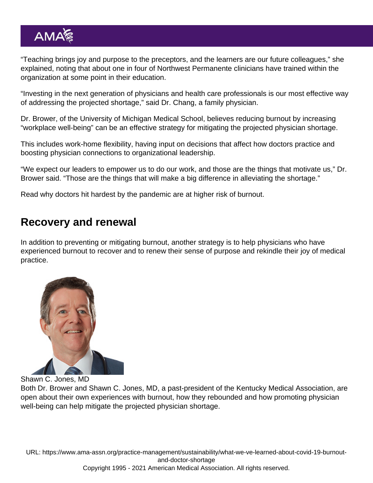"Teaching brings joy and purpose to the preceptors, and the learners are our future colleagues," she explained, noting that about one in four of Northwest Permanente clinicians have trained within the organization at some point in their education.

"Investing in the next generation of physicians and health care professionals is our most effective way of addressing the projected shortage," said Dr. Chang, a family physician.

Dr. Brower, of the University of Michigan Medical School, believes reducing burnout by increasing "workplace well-being" can be an effective strategy for mitigating the projected physician shortage.

This includes work-home flexibility, having input on decisions that affect how doctors practice and boosting physician connections to organizational leadership.

"We expect our leaders to empower us to do our work, and those are the things that motivate us," Dr. Brower said. "Those are the things that will make a big difference in alleviating the shortage."

Read why doctors hit [hardest by the pandemic are at higher risk of burnout.](https://www.ama-assn.org/practice-management/physician-health/doctors-hit-hardest-pandemic-higher-risk-burnout)

#### Recovery and renewal

In addition to preventing or mitigating burnout, another strategy is to help physicians who have experienced burnout to recover and to renew their sense of purpose and rekindle their joy of medical practice.

Shawn C. Jones, MD

Both Dr. Brower and [Shawn C. Jones, MD,](https://www.ama-assn.org/practice-management/physician-health/renaissance-man-surgeon-s-healing-journey-through-art-history) a past-president of the Kentucky Medical Association, are open about their own experiences with burnout, how they rebounded and how promoting physician well-being can help mitigate the projected physician shortage.